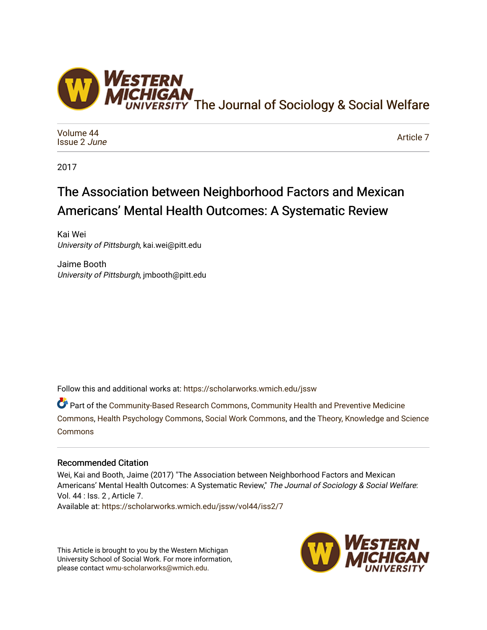

[Volume 44](https://scholarworks.wmich.edu/jssw/vol44) [Issue 2](https://scholarworks.wmich.edu/jssw/vol44/iss2) June

[Article 7](https://scholarworks.wmich.edu/jssw/vol44/iss2/7) 

2017

# The Association between Neighborhood Factors and Mexican Americans' Mental Health Outcomes: A Systematic Review

Kai Wei University of Pittsburgh, kai.wei@pitt.edu

Jaime Booth University of Pittsburgh, jmbooth@pitt.edu

Follow this and additional works at: [https://scholarworks.wmich.edu/jssw](https://scholarworks.wmich.edu/jssw?utm_source=scholarworks.wmich.edu%2Fjssw%2Fvol44%2Fiss2%2F7&utm_medium=PDF&utm_campaign=PDFCoverPages) 

Part of the [Community-Based Research Commons](http://network.bepress.com/hgg/discipline/1047?utm_source=scholarworks.wmich.edu%2Fjssw%2Fvol44%2Fiss2%2F7&utm_medium=PDF&utm_campaign=PDFCoverPages), [Community Health and Preventive Medicine](http://network.bepress.com/hgg/discipline/744?utm_source=scholarworks.wmich.edu%2Fjssw%2Fvol44%2Fiss2%2F7&utm_medium=PDF&utm_campaign=PDFCoverPages) [Commons](http://network.bepress.com/hgg/discipline/744?utm_source=scholarworks.wmich.edu%2Fjssw%2Fvol44%2Fiss2%2F7&utm_medium=PDF&utm_campaign=PDFCoverPages), [Health Psychology Commons,](http://network.bepress.com/hgg/discipline/411?utm_source=scholarworks.wmich.edu%2Fjssw%2Fvol44%2Fiss2%2F7&utm_medium=PDF&utm_campaign=PDFCoverPages) [Social Work Commons](http://network.bepress.com/hgg/discipline/713?utm_source=scholarworks.wmich.edu%2Fjssw%2Fvol44%2Fiss2%2F7&utm_medium=PDF&utm_campaign=PDFCoverPages), and the [Theory, Knowledge and Science](http://network.bepress.com/hgg/discipline/432?utm_source=scholarworks.wmich.edu%2Fjssw%2Fvol44%2Fiss2%2F7&utm_medium=PDF&utm_campaign=PDFCoverPages)  **[Commons](http://network.bepress.com/hgg/discipline/432?utm_source=scholarworks.wmich.edu%2Fjssw%2Fvol44%2Fiss2%2F7&utm_medium=PDF&utm_campaign=PDFCoverPages)** 

## Recommended Citation

Wei, Kai and Booth, Jaime (2017) "The Association between Neighborhood Factors and Mexican Americans' Mental Health Outcomes: A Systematic Review," The Journal of Sociology & Social Welfare: Vol. 44 : Iss. 2 , Article 7. Available at: [https://scholarworks.wmich.edu/jssw/vol44/iss2/7](https://scholarworks.wmich.edu/jssw/vol44/iss2/7?utm_source=scholarworks.wmich.edu%2Fjssw%2Fvol44%2Fiss2%2F7&utm_medium=PDF&utm_campaign=PDFCoverPages)

This Article is brought to you by the Western Michigan University School of Social Work. For more information, please contact [wmu-scholarworks@wmich.edu.](mailto:wmu-scholarworks@wmich.edu)

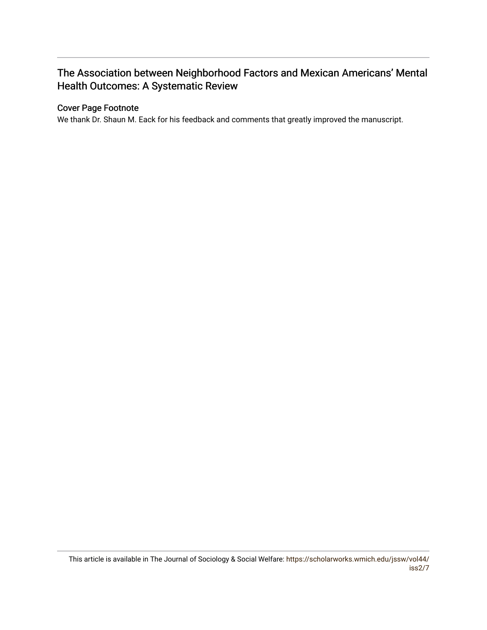## The Association between Neighborhood Factors and Mexican Americans' Mental Health Outcomes: A Systematic Review

## Cover Page Footnote

We thank Dr. Shaun M. Eack for his feedback and comments that greatly improved the manuscript.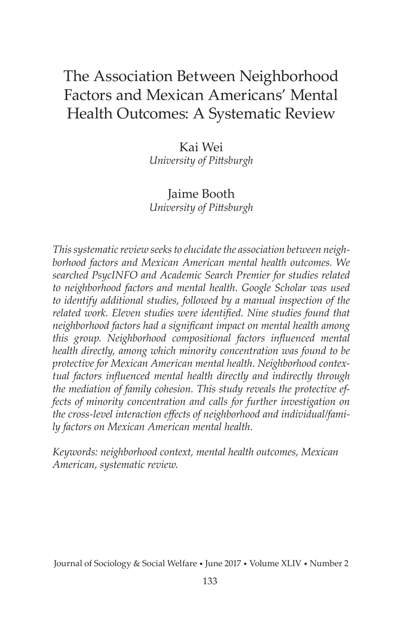## The Association Between Neighborhood Factors and Mexican Americans' Mental Health Outcomes: A Systematic Review

Kai Wei *University of Pittsburgh*

#### Jaime Booth *University of Pittsburgh*

*This systematic review seeks to elucidate the association between neighborhood factors and Mexican American mental health outcomes. We searched PsycINFO and Academic Search Premier for studies related to neighborhood factors and mental health. Google Scholar was used to identify additional studies, followed by a manual inspection of the related work. Eleven studies were identified. Nine studies found that neighborhood factors had a significant impact on mental health among this group. Neighborhood compositional factors influenced mental health directly, among which minority concentration was found to be protective for Mexican American mental health. Neighborhood contextual factors influenced mental health directly and indirectly through the mediation of family cohesion. This study reveals the protective effects of minority concentration and calls for further investigation on the cross-level interaction effects of neighborhood and individual/family factors on Mexican American mental health.* 

*Keywords: neighborhood context, mental health outcomes, Mexican American, systematic review.* 

Journal of Sociology & Social Welfare • June 2017 • Volume XLIV • Number 2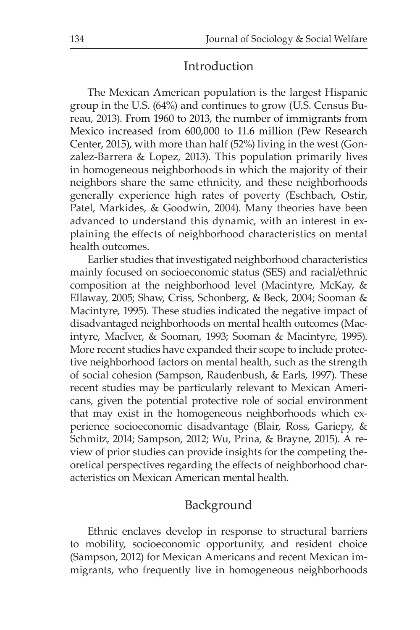## Introduction

The Mexican American population is the largest Hispanic group in the U.S. (64%) and continues to grow (U.S. Census Bureau, 2013). From 1960 to 2013, the number of immigrants from Mexico increased from 600,000 to 11.6 million (Pew Research Center, 2015), with more than half (52%) living in the west (Gonzalez-Barrera & Lopez, 2013). This population primarily lives in homogeneous neighborhoods in which the majority of their neighbors share the same ethnicity, and these neighborhoods generally experience high rates of poverty (Eschbach, Ostir, Patel, Markides, & Goodwin, 2004). Many theories have been advanced to understand this dynamic, with an interest in explaining the effects of neighborhood characteristics on mental health outcomes.

Earlier studies that investigated neighborhood characteristics mainly focused on socioeconomic status (SES) and racial/ethnic composition at the neighborhood level (Macintyre, McKay, & Ellaway, 2005; Shaw, Criss, Schonberg, & Beck, 2004; Sooman & Macintyre, 1995). These studies indicated the negative impact of disadvantaged neighborhoods on mental health outcomes (Macintyre, MacIver, & Sooman, 1993; Sooman & Macintyre, 1995). More recent studies have expanded their scope to include protective neighborhood factors on mental health, such as the strength of social cohesion (Sampson, Raudenbush, & Earls, 1997). These recent studies may be particularly relevant to Mexican Americans, given the potential protective role of social environment that may exist in the homogeneous neighborhoods which experience socioeconomic disadvantage (Blair, Ross, Gariepy, & Schmitz, 2014; Sampson, 2012; Wu, Prina, & Brayne, 2015). A review of prior studies can provide insights for the competing theoretical perspectives regarding the effects of neighborhood characteristics on Mexican American mental health.

## Background

Ethnic enclaves develop in response to structural barriers to mobility, socioeconomic opportunity, and resident choice (Sampson, 2012) for Mexican Americans and recent Mexican immigrants, who frequently live in homogeneous neighborhoods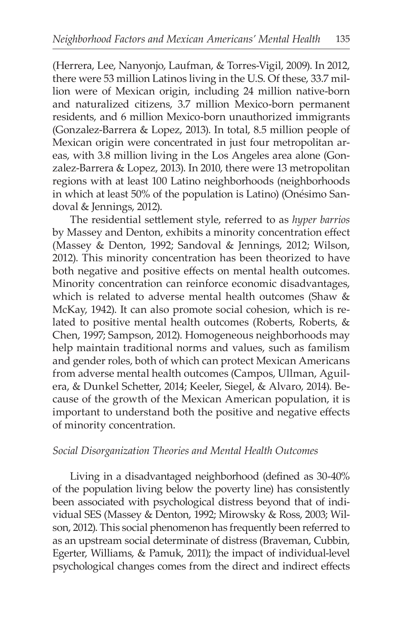(Herrera, Lee, Nanyonjo, Laufman, & Torres-Vigil, 2009). In 2012, there were 53 million Latinos living in the U.S. Of these, 33.7 million were of Mexican origin, including 24 million native-born and naturalized citizens, 3.7 million Mexico-born permanent residents, and 6 million Mexico-born unauthorized immigrants (Gonzalez-Barrera & Lopez, 2013). In total, 8.5 million people of Mexican origin were concentrated in just four metropolitan areas, with 3.8 million living in the Los Angeles area alone (Gonzalez-Barrera & Lopez, 2013). In 2010, there were 13 metropolitan regions with at least 100 Latino neighborhoods (neighborhoods in which at least 50% of the population is Latino) (Onésimo Sandoval & Jennings, 2012).

The residential settlement style, referred to as *hyper barrios* by Massey and Denton, exhibits a minority concentration effect (Massey & Denton, 1992; Sandoval & Jennings, 2012; Wilson, 2012). This minority concentration has been theorized to have both negative and positive effects on mental health outcomes. Minority concentration can reinforce economic disadvantages, which is related to adverse mental health outcomes (Shaw & McKay, 1942). It can also promote social cohesion, which is related to positive mental health outcomes (Roberts, Roberts, & Chen, 1997; Sampson, 2012). Homogeneous neighborhoods may help maintain traditional norms and values, such as familism and gender roles, both of which can protect Mexican Americans from adverse mental health outcomes (Campos, Ullman, Aguilera, & Dunkel Schetter, 2014; Keeler, Siegel, & Alvaro, 2014). Because of the growth of the Mexican American population, it is important to understand both the positive and negative effects of minority concentration.

#### *Social Disorganization Theories and Mental Health Outcomes*

Living in a disadvantaged neighborhood (defined as 30-40% of the population living below the poverty line) has consistently been associated with psychological distress beyond that of individual SES (Massey & Denton, 1992; Mirowsky & Ross, 2003; Wilson, 2012). This social phenomenon has frequently been referred to as an upstream social determinate of distress (Braveman, Cubbin, Egerter, Williams, & Pamuk, 2011); the impact of individual-level psychological changes comes from the direct and indirect effects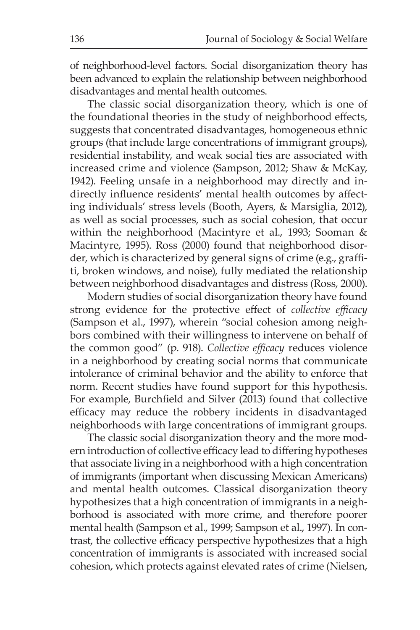of neighborhood-level factors. Social disorganization theory has been advanced to explain the relationship between neighborhood disadvantages and mental health outcomes.

The classic social disorganization theory, which is one of the foundational theories in the study of neighborhood effects, suggests that concentrated disadvantages, homogeneous ethnic groups (that include large concentrations of immigrant groups), residential instability, and weak social ties are associated with increased crime and violence (Sampson, 2012; Shaw & McKay, 1942). Feeling unsafe in a neighborhood may directly and indirectly influence residents' mental health outcomes by affecting individuals' stress levels (Booth, Ayers, & Marsiglia, 2012), as well as social processes, such as social cohesion, that occur within the neighborhood (Macintyre et al., 1993; Sooman & Macintyre, 1995). Ross (2000) found that neighborhood disorder, which is characterized by general signs of crime (e.g., graffiti, broken windows, and noise), fully mediated the relationship between neighborhood disadvantages and distress (Ross, 2000).

Modern studies of social disorganization theory have found strong evidence for the protective effect of *collective efficacy* (Sampson et al., 1997), wherein "social cohesion among neighbors combined with their willingness to intervene on behalf of the common good" (p. 918). *Collective efficacy* reduces violence in a neighborhood by creating social norms that communicate intolerance of criminal behavior and the ability to enforce that norm. Recent studies have found support for this hypothesis. For example, Burchfield and Silver (2013) found that collective efficacy may reduce the robbery incidents in disadvantaged neighborhoods with large concentrations of immigrant groups.

The classic social disorganization theory and the more modern introduction of collective efficacy lead to differing hypotheses that associate living in a neighborhood with a high concentration of immigrants (important when discussing Mexican Americans) and mental health outcomes. Classical disorganization theory hypothesizes that a high concentration of immigrants in a neighborhood is associated with more crime, and therefore poorer mental health (Sampson et al., 1999; Sampson et al., 1997). In contrast, the collective efficacy perspective hypothesizes that a high concentration of immigrants is associated with increased social cohesion, which protects against elevated rates of crime (Nielsen,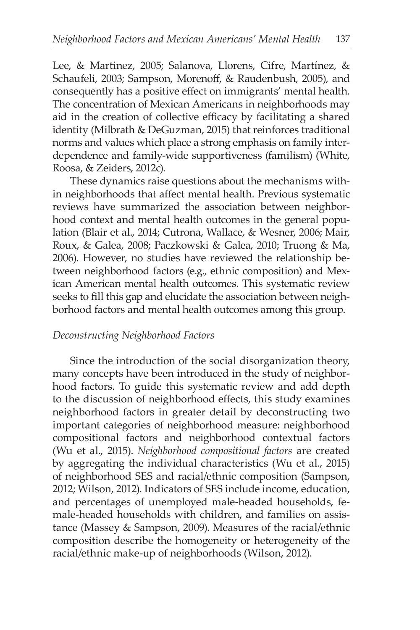Lee, & Martinez, 2005; Salanova, Llorens, Cifre, Martínez, & Schaufeli, 2003; Sampson, Morenoff, & Raudenbush, 2005), and consequently has a positive effect on immigrants' mental health. The concentration of Mexican Americans in neighborhoods may aid in the creation of collective efficacy by facilitating a shared identity (Milbrath & DeGuzman, 2015) that reinforces traditional norms and values which place a strong emphasis on family interdependence and family-wide supportiveness (familism) (White, Roosa, & Zeiders, 2012c).

These dynamics raise questions about the mechanisms within neighborhoods that affect mental health. Previous systematic reviews have summarized the association between neighborhood context and mental health outcomes in the general population (Blair et al., 2014; Cutrona, Wallace, & Wesner, 2006; Mair, Roux, & Galea, 2008; Paczkowski & Galea, 2010; Truong & Ma, 2006). However, no studies have reviewed the relationship between neighborhood factors (e.g., ethnic composition) and Mexican American mental health outcomes. This systematic review seeks to fill this gap and elucidate the association between neighborhood factors and mental health outcomes among this group.

#### *Deconstructing Neighborhood Factors*

Since the introduction of the social disorganization theory, many concepts have been introduced in the study of neighborhood factors. To guide this systematic review and add depth to the discussion of neighborhood effects, this study examines neighborhood factors in greater detail by deconstructing two important categories of neighborhood measure: neighborhood compositional factors and neighborhood contextual factors (Wu et al., 2015). *Neighborhood compositional factors* are created by aggregating the individual characteristics (Wu et al., 2015) of neighborhood SES and racial/ethnic composition (Sampson, 2012; Wilson, 2012). Indicators of SES include income, education, and percentages of unemployed male-headed households, female-headed households with children, and families on assistance (Massey & Sampson, 2009). Measures of the racial/ethnic composition describe the homogeneity or heterogeneity of the racial/ethnic make-up of neighborhoods (Wilson, 2012).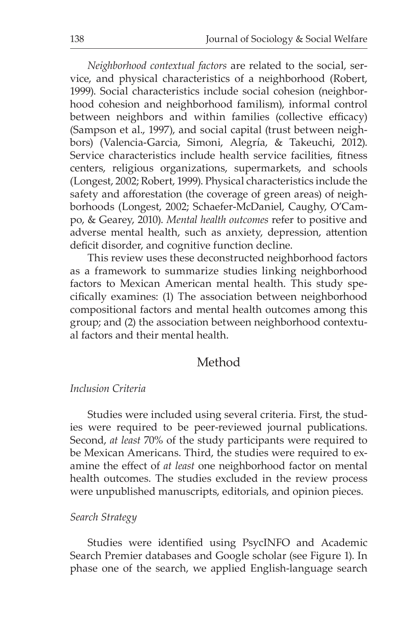*Neighborhood contextual factors* are related to the social, service, and physical characteristics of a neighborhood (Robert, 1999). Social characteristics include social cohesion (neighborhood cohesion and neighborhood familism), informal control between neighbors and within families (collective efficacy) (Sampson et al., 1997), and social capital (trust between neighbors) (Valencia-Garcia, Simoni, Alegría, & Takeuchi, 2012). Service characteristics include health service facilities, fitness centers, religious organizations, supermarkets, and schools (Longest, 2002; Robert, 1999). Physical characteristics include the safety and afforestation (the coverage of green areas) of neighborhoods (Longest, 2002; Schaefer-McDaniel, Caughy, O'Campo, & Gearey, 2010). *Mental health outcomes* refer to positive and adverse mental health, such as anxiety, depression, attention deficit disorder, and cognitive function decline.

This review uses these deconstructed neighborhood factors as a framework to summarize studies linking neighborhood factors to Mexican American mental health. This study specifically examines: (1) The association between neighborhood compositional factors and mental health outcomes among this group; and (2) the association between neighborhood contextual factors and their mental health.

#### Method

#### *Inclusion Criteria*

Studies were included using several criteria. First, the studies were required to be peer-reviewed journal publications. Second, *at least* 70% of the study participants were required to be Mexican Americans. Third, the studies were required to examine the effect of *at least* one neighborhood factor on mental health outcomes. The studies excluded in the review process were unpublished manuscripts, editorials, and opinion pieces.

#### *Search Strategy*

Studies were identified using PsycINFO and Academic Search Premier databases and Google scholar (see Figure 1). In phase one of the search, we applied English-language search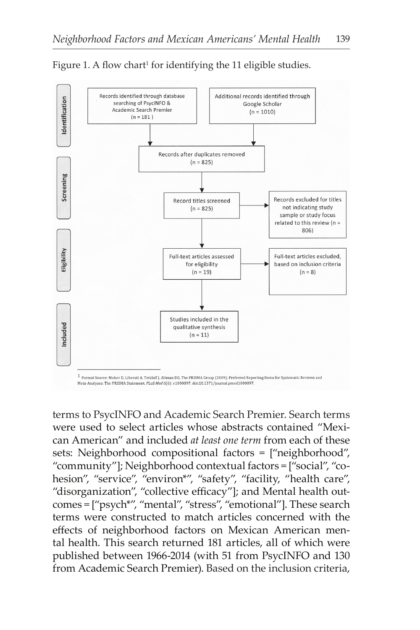

Figure 1. A flow chart<sup>1</sup> for identifying the 11 eligible studies.

 $1$  Format Source: Moher D, Liberati A, Tetzlaff J, Altman DG, The PRISMA Group (2009). Preferred Reporting Items for Systematic Reviews and Meta-Analyses: The PRISMA Statement. PLoS Med 6(6): e1000097. doi:10.1371/journal.pmed1000097.

terms to PsycINFO and Academic Search Premier. Search terms were used to select articles whose abstracts contained "Mexican American" and included *at least one term* from each of these sets: Neighborhood compositional factors = ["neighborhood", "community"]; Neighborhood contextual factors = ["social", "cohesion", "service", "environ\*", "safety", "facility, "health care", "disorganization", "collective efficacy"]; and Mental health outcomes = ["psych\*", "mental", "stress", "emotional"]. These search terms were constructed to match articles concerned with the effects of neighborhood factors on Mexican American mental health. This search returned 181 articles, all of which were published between 1966-2014 (with 51 from PsycINFO and 130 from Academic Search Premier). Based on the inclusion criteria,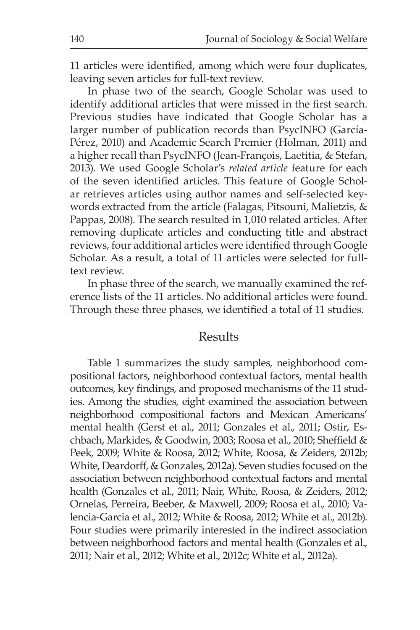11 articles were identified, among which were four duplicates, leaving seven articles for full-text review.

In phase two of the search, Google Scholar was used to identify additional articles that were missed in the first search. Previous studies have indicated that Google Scholar has a larger number of publication records than PsycINFO (García-Pérez, 2010) and Academic Search Premier (Holman, 2011) and a higher recall than PsycINFO (Jean-François, Laetitia, & Stefan, 2013). We used Google Scholar's *related article* feature for each of the seven identified articles. This feature of Google Scholar retrieves articles using author names and self-selected keywords extracted from the article (Falagas, Pitsouni, Malietzis, & Pappas, 2008). The search resulted in 1,010 related articles. After removing duplicate articles and conducting title and abstract reviews, four additional articles were identified through Google Scholar. As a result, a total of 11 articles were selected for fulltext review.

In phase three of the search, we manually examined the reference lists of the 11 articles. No additional articles were found. Through these three phases, we identified a total of 11 studies.

#### Results

Table 1 summarizes the study samples, neighborhood compositional factors, neighborhood contextual factors, mental health outcomes, key findings, and proposed mechanisms of the 11 studies. Among the studies, eight examined the association between neighborhood compositional factors and Mexican Americans' mental health (Gerst et al., 2011; Gonzales et al., 2011; Ostir, Eschbach, Markides, & Goodwin, 2003; Roosa et al., 2010; Sheffield & Peek, 2009; White & Roosa, 2012; White, Roosa, & Zeiders, 2012b; White, Deardorff, & Gonzales, 2012a). Seven studies focused on the association between neighborhood contextual factors and mental health (Gonzales et al., 2011; Nair, White, Roosa, & Zeiders, 2012; Ornelas, Perreira, Beeber, & Maxwell, 2009; Roosa et al., 2010; Valencia-Garcia et al., 2012; White & Roosa, 2012; White et al., 2012b). Four studies were primarily interested in the indirect association between neighborhood factors and mental health (Gonzales et al., 2011; Nair et al., 2012; White et al., 2012c; White et al., 2012a).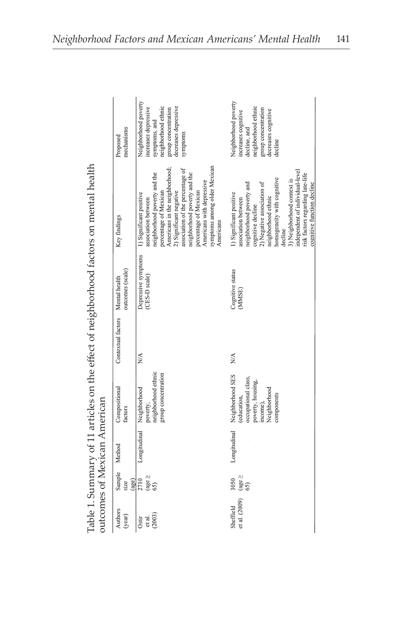|                   |               | putcomes of Mexican American |                         |                                  |                  | Table 1. Summary of 11 articles on the effect of neighborhood factors on mental health |                      |
|-------------------|---------------|------------------------------|-------------------------|----------------------------------|------------------|----------------------------------------------------------------------------------------|----------------------|
| Authors<br>(year) |               | Sample Method                | Compositional<br>actors | Contextual factors Mental health | outcomes (scale) | Key findings                                                                           | Proposed<br>mechanis |
| Ostir             | .710<br>(age) | Longitudinal                 | Neighborhood            |                                  |                  | Depressive symptoms 1) Significant positive                                            | Veighborl            |
| et al.            | $(age \ge$    |                              | poverty,                |                                  | CES-D scale)     | ssociation between                                                                     | ncreases             |
| (2003)            |               |                              | eighborhood ethnic      |                                  |                  | eighborhood poverty and the                                                            | ymptoms              |

| Authors<br>(year)          | Sample<br>(age)<br>size                | Method       | Compositional<br>factors                                                                                              | Contextual factors                | outcomes (scale)<br>Mental health    | Key findings                                                                                                                                                                                                                                                                                                                                | mechanisms<br>Proposed                                                                                                                          |
|----------------------------|----------------------------------------|--------------|-----------------------------------------------------------------------------------------------------------------------|-----------------------------------|--------------------------------------|---------------------------------------------------------------------------------------------------------------------------------------------------------------------------------------------------------------------------------------------------------------------------------------------------------------------------------------------|-------------------------------------------------------------------------------------------------------------------------------------------------|
| (2003)<br>et al.<br>Ostir  | $\frac{\text{age}}{\text{65}}$<br>2710 | Longitudinal | poverty,<br>neighborhood ethnic<br>group concentration<br>Neighborhood                                                | $\frac{\triangleleft}{\triangle}$ | Depressive symptoms<br>(CES-D scale) | symptoms among older Mexican<br>Americans in the neighborhood;<br>association of the percentage of<br>neighborhood poverty and the<br>neighborhood poverty and the<br>percentage of Mexican<br>Americans with depressive<br>2) Significant negative<br>percentage of Mexican<br>1) Significant positive<br>association between<br>Americans | Neighborhood poverty<br>decreases depressive<br>increases depressive<br>symptoms, and<br>neighborhood ethnic<br>group concentration<br>symptoms |
| et al. (2009)<br>Sheffield | (age $\geq$<br>3050<br>65)             | Longitudinal | Neighborhood SES<br>occupational class,<br>poverty, housing,<br>Neighborhood<br>components<br>(education,<br>income), | $\frac{4}{2}$                     | Cognitive status<br>(MMSE)           | independent of individual-level<br>risk factors regarding late-life<br>homogeneity with cognitive<br>3) Neighborhood context is<br>cognitive function decline<br>cognitive decline $2$ ) Negative association of<br>neighborhood poverty and<br>1) Significant positive<br>neighborhood ethnic<br>association between<br>decline            | Neighborhood poverty<br>increases cognitive<br>neighborhood ethnic<br>group concentration<br>decreases cognitive<br>decline, and<br>decline     |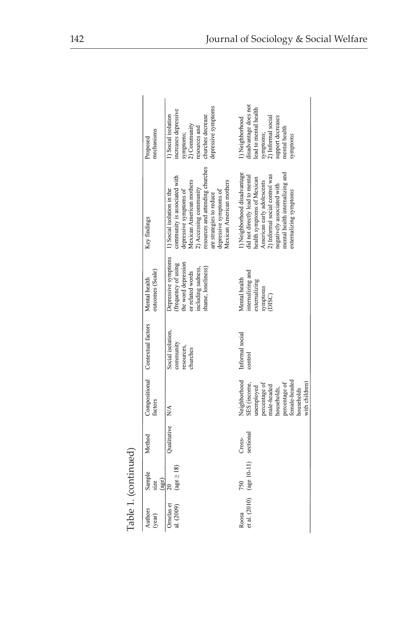|                          | Table 1. (continued)    |                     |                                                                                                                                                            |                                                          |                                                                                                                                  |                                                                                                                                                                                                                                                                  |                                                                                                                                                       |
|--------------------------|-------------------------|---------------------|------------------------------------------------------------------------------------------------------------------------------------------------------------|----------------------------------------------------------|----------------------------------------------------------------------------------------------------------------------------------|------------------------------------------------------------------------------------------------------------------------------------------------------------------------------------------------------------------------------------------------------------------|-------------------------------------------------------------------------------------------------------------------------------------------------------|
| Authors<br>(year)        | Sample<br>(age)<br>size | Method              | actors                                                                                                                                                     | Compositional Contextual factors                         | outcomes (Scale)<br>Mental health                                                                                                | Key findings                                                                                                                                                                                                                                                     | mechanisms<br>Proposed                                                                                                                                |
| Ornelas et<br>al. (2009) | $(age \geq 18)$<br>20   | Qualitative         | N/A                                                                                                                                                        | Social isolation,<br>community<br>resources,<br>churches | Depressive symptoms<br>he word depression<br>(frequency of using<br>shame, loneliness)<br>including sadness.<br>or related words | resources and attending churches<br>community is associated with<br>Mexican American mothers<br>Mexican American mothers<br>2) Accessing community<br>depressive symptoms of<br>depressive symptoms of<br>1) Social isolation in the<br>are strategies to reduce | depressive symptoms<br>increases depressive<br>churches decrease<br>Social isolation<br>2) Community<br>resources and<br>symptoms;                    |
| et al. (2010)<br>Roosa   | $(age 10-11)$<br>750    | sectional<br>Cross- | Neighborhood<br>emale-headed<br>with children)<br>SES (income,<br>percentage of<br>percentage of<br>male-headed<br>unemployed<br>households,<br>households | Informal social<br>control                               | internalizing and<br>Mental health<br>externalizing<br>symptoms<br>(DISC)                                                        | ) Neighborhood disadvantage<br>mental health internalizing and<br>) Informal social control was<br>did not directly lead to mental<br>health symptoms of Mexican<br>American early adolescents<br>negatively associated with<br>externalizing symptoms           | disadvantage does not<br>lead to mental health<br>symptoms;<br>2) Informal social<br>support decreases<br>) Neighborhood<br>mental health<br>symptoms |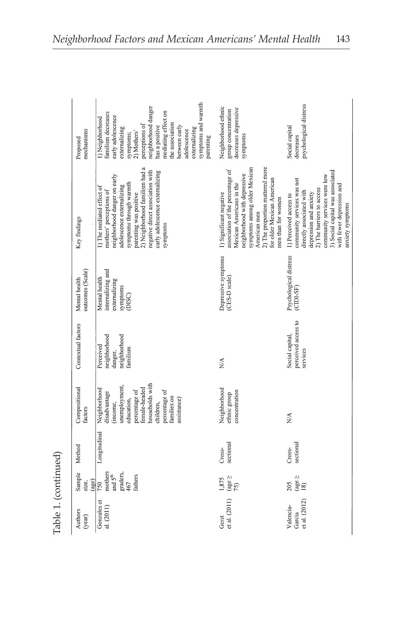| mechanisms<br>Proposed            | symptoms and warmth<br>neighborhood danger<br>amilism decreases<br>nediating effect on<br>early adolescence<br>) Neighborhood<br>he association<br>perceptions of<br>nas a positive<br>setween early<br>externalizing<br><b>xternalizing</b><br>adolescence<br>2) Mothers'<br>symptoms;<br>parenting | Neighborhood ethnic<br>decreases depressive<br>group concentration<br>symptoms                                                                                                                                                                                 | psychological distress<br>Social capital<br>decreases                                                                                                                                                                                                       |
|-----------------------------------|------------------------------------------------------------------------------------------------------------------------------------------------------------------------------------------------------------------------------------------------------------------------------------------------------|----------------------------------------------------------------------------------------------------------------------------------------------------------------------------------------------------------------------------------------------------------------|-------------------------------------------------------------------------------------------------------------------------------------------------------------------------------------------------------------------------------------------------------------|
| Key findings                      | 2) Neighborhood familism had a<br>negative direct association with<br>early adolescence externalizing<br>neighborhood danger on early<br>symptoms through warmth<br>adolescence externalizing<br>1) The mediated effect of<br>mothers' perceptions of<br>parenting was positive<br>symptoms          | 2) The proportion mattered more<br>symptoms among older Mexican<br>association of the percentage of<br>neighborhood with depressive<br>for older Mexican American<br>Mexican Americans in the<br>1) Significant negative<br>men than for women<br>American men | 3) Social capital was associated<br>community services were low<br>community services was not<br>with fewer depression and<br>2) The barriers to access<br>directly associated with<br>depression and anxiety<br>1) Perceived access to<br>anxiety symptoms |
| outcomes (Scale)<br>Mental health | internalizing and<br>Mental health<br>externalizing<br>symptoms<br>(DISC)                                                                                                                                                                                                                            | Depressive symptoms<br>(CES-D scale)                                                                                                                                                                                                                           | Psychological distress<br>$\overline{\text{CDI-SF}}$                                                                                                                                                                                                        |
| Contextual factors                | neighborhood<br>reighborhood<br>Perceived<br>amilism<br>danger,                                                                                                                                                                                                                                      | $\stackrel{\triangle}{\geq}$                                                                                                                                                                                                                                   | perceived access to<br>Social capital,<br>services                                                                                                                                                                                                          |
| Compositional<br>factors          | nouseholds with<br>inemployment,<br>emale-headed<br>Neighborhood<br>percentage of<br>percentage of<br>disadvantage<br>amilies on<br>education,<br>assistance)<br>income,<br>hildren,                                                                                                                 | Neighborhood<br>concentration<br>ethnic group                                                                                                                                                                                                                  | N/A                                                                                                                                                                                                                                                         |
| Method                            | Longitudinal                                                                                                                                                                                                                                                                                         | sectional<br>Cross-                                                                                                                                                                                                                                            | sectional<br>Cross-                                                                                                                                                                                                                                         |
| Sample<br>(age)<br>size,          | mothers<br>graders,<br>and $5^{\text{th}}$<br>fathers<br>467<br>750                                                                                                                                                                                                                                  | (age $\ge$<br>75)<br>1,875                                                                                                                                                                                                                                     | $\frac{(\text{age } \geq 18)}{18}$<br>205                                                                                                                                                                                                                   |
| Authors<br>(year)                 | Gonzales et<br>al. (2011)                                                                                                                                                                                                                                                                            | et al. (2011)<br>Gerst                                                                                                                                                                                                                                         | et al. (2012)<br>Valencia-<br>Garcia                                                                                                                                                                                                                        |
|                                   |                                                                                                                                                                                                                                                                                                      |                                                                                                                                                                                                                                                                |                                                                                                                                                                                                                                                             |

Table 1. (continued) Table 1. (continued)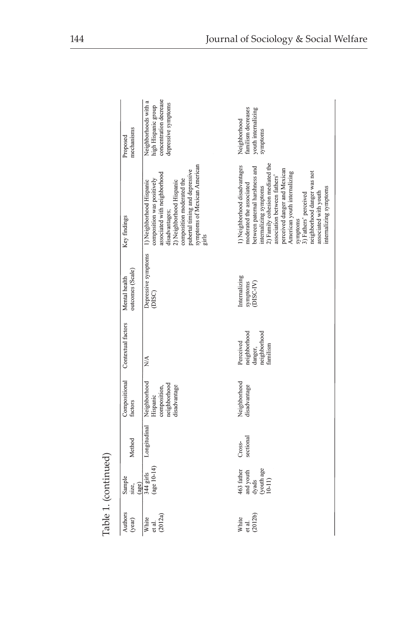| mechanisms<br>Proposed            | concentration decrease<br>Neighborhoods with a<br>depressive symptoms<br>high Hispanic group                                                                                                                                                 | familism decreases<br>youth internalizing<br>Neighborhood<br>symptoms                                                                                                                                                                                                                                                                                                           |
|-----------------------------------|----------------------------------------------------------------------------------------------------------------------------------------------------------------------------------------------------------------------------------------------|---------------------------------------------------------------------------------------------------------------------------------------------------------------------------------------------------------------------------------------------------------------------------------------------------------------------------------------------------------------------------------|
| Key findings                      | symptoms of Mexican American<br>girls<br>pubertal timing and depressive<br>associated with neighborhood<br>composition was positively<br>composition moderated the<br>1) Neighborhood Hispanic<br>2) Neighborhood Hispanic<br>disadvantages; | 2) Family cohesion mediated the<br>1) Neighborhood disadvantages<br>between paternal harshness and<br>perceived danger and Mexican<br>neighborhood danger was not<br>American youth internalizing<br>association between fathers'<br>moderated the associated<br>internalizing symptoms<br>internalizing symptoms<br>associated with youth<br>3) Fathers' perceived<br>symptoms |
| outcomes (Scale)<br>Mental health | Depressive symptoms<br>(DISC)                                                                                                                                                                                                                | Internalizing<br>symptoms<br>(DISC-IV)                                                                                                                                                                                                                                                                                                                                          |
| Contextual factors                | NA.                                                                                                                                                                                                                                          | heighborhood<br>danger,<br>neighborhood<br>Perceived<br>amilism                                                                                                                                                                                                                                                                                                                 |
| Compositional<br>factors          | Neighborhood<br>neighborhood<br>disadvantage<br>composition,<br>Hispanic                                                                                                                                                                     | Neighborhood<br>disadvantage                                                                                                                                                                                                                                                                                                                                                    |
| Method                            | Longitudinal                                                                                                                                                                                                                                 | sectional<br>Cross-                                                                                                                                                                                                                                                                                                                                                             |
| Sample<br>(age)<br>size,          | $(age 10-14)$<br>344 girls                                                                                                                                                                                                                   | $dy$ ads<br>(youth age<br>$10-11$ )<br>463 father<br>and youth                                                                                                                                                                                                                                                                                                                  |
| Authors<br>(year)                 | (2012a)<br>White<br>et al.                                                                                                                                                                                                                   | (2012b)<br>White<br>et al.                                                                                                                                                                                                                                                                                                                                                      |

Table 1. (continued) Table 1. (continued)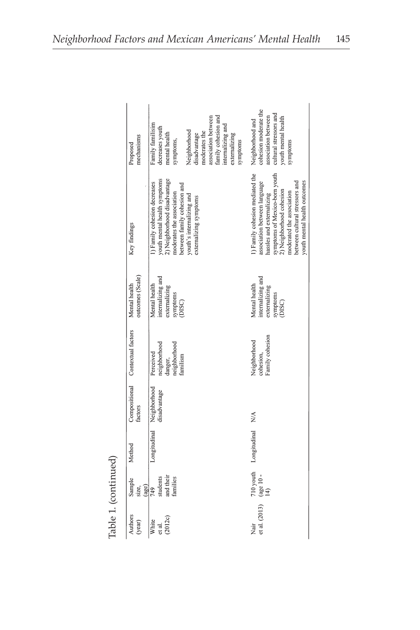|                     | mechanisms<br>Proposed            | association between<br>family cohesion and<br>Family familisim<br>internalizing and<br>decreases youth<br>Neighborhood<br>moderates the<br>mental health<br>disadvantage<br>externalizing<br>symptoms,<br>symptoms | cohesion moderate the<br>cultural stressors and<br>association between<br>youth mental health<br>Neighborhood and<br>symptoms                                                                                                                            |
|---------------------|-----------------------------------|--------------------------------------------------------------------------------------------------------------------------------------------------------------------------------------------------------------------|----------------------------------------------------------------------------------------------------------------------------------------------------------------------------------------------------------------------------------------------------------|
|                     | Key findings                      | 2) Neighborhood disadvantage<br>youth mental health symptoms<br>1) Family cohesion decreases<br>between family cohesion and<br>moderates the association<br>youth's internalizing and<br>externalizing symptoms    | () Family cohesion mediated the<br>symptoms of Mexico-born youth<br>youth mental health outcomes<br>association between language<br>between cultural stressors and<br>2) Neighborhood cohesion<br>moderated the association<br>hassles and externalizing |
|                     | outcomes (Scale)<br>Mental health | internalizing and<br>Mental health<br>externalizing<br>symptoms<br>(DISC)                                                                                                                                          | nternalizing and<br>Mental health<br>externalizing<br>symptoms<br>(DISC)                                                                                                                                                                                 |
|                     | Compositional Contextual factors  | neighborhood<br>neighborhood<br>Perceived<br>familism<br>danger,                                                                                                                                                   | Family cohesion<br>Neighborhood<br>cohesion,                                                                                                                                                                                                             |
|                     | factors                           | Neighborhood<br>disadvantage                                                                                                                                                                                       | $\frac{1}{2}$                                                                                                                                                                                                                                            |
|                     | Method                            | Longitudinal                                                                                                                                                                                                       | 710 youth Longitudinal                                                                                                                                                                                                                                   |
|                     | Sample<br>(age)<br>size,          | and their<br>students<br>families<br>749                                                                                                                                                                           | (age 10 - 14)                                                                                                                                                                                                                                            |
| there is formation. | Authors<br>(year)                 | (2012c)<br>White<br>et al.                                                                                                                                                                                         | et al. (2013)<br>Nair                                                                                                                                                                                                                                    |

Table 1. (continued) Table 1. (continued)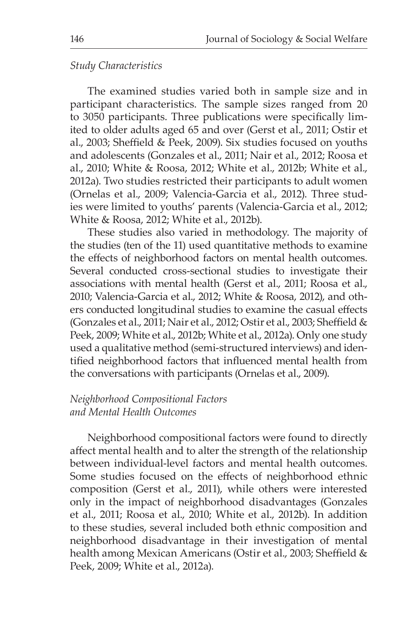#### *Study Characteristics*

The examined studies varied both in sample size and in participant characteristics. The sample sizes ranged from 20 to 3050 participants. Three publications were specifically limited to older adults aged 65 and over (Gerst et al., 2011; Ostir et al., 2003; Sheffield & Peek, 2009). Six studies focused on youths and adolescents (Gonzales et al., 2011; Nair et al., 2012; Roosa et al., 2010; White & Roosa, 2012; White et al., 2012b; White et al., 2012a). Two studies restricted their participants to adult women (Ornelas et al., 2009; Valencia-Garcia et al., 2012). Three studies were limited to youths' parents (Valencia-Garcia et al., 2012; White & Roosa, 2012; White et al., 2012b).

These studies also varied in methodology. The majority of the studies (ten of the 11) used quantitative methods to examine the effects of neighborhood factors on mental health outcomes. Several conducted cross-sectional studies to investigate their associations with mental health (Gerst et al., 2011; Roosa et al., 2010; Valencia-Garcia et al., 2012; White & Roosa, 2012), and others conducted longitudinal studies to examine the casual effects (Gonzales et al., 2011; Nair et al., 2012; Ostir et al., 2003; Sheffield & Peek, 2009; White et al., 2012b; White et al., 2012a). Only one study used a qualitative method (semi-structured interviews) and identified neighborhood factors that influenced mental health from the conversations with participants (Ornelas et al., 2009).

#### *Neighborhood Compositional Factors and Mental Health Outcomes*

Neighborhood compositional factors were found to directly affect mental health and to alter the strength of the relationship between individual-level factors and mental health outcomes. Some studies focused on the effects of neighborhood ethnic composition (Gerst et al., 2011), while others were interested only in the impact of neighborhood disadvantages (Gonzales et al., 2011; Roosa et al., 2010; White et al., 2012b). In addition to these studies, several included both ethnic composition and neighborhood disadvantage in their investigation of mental health among Mexican Americans (Ostir et al., 2003; Sheffield & Peek, 2009; White et al., 2012a).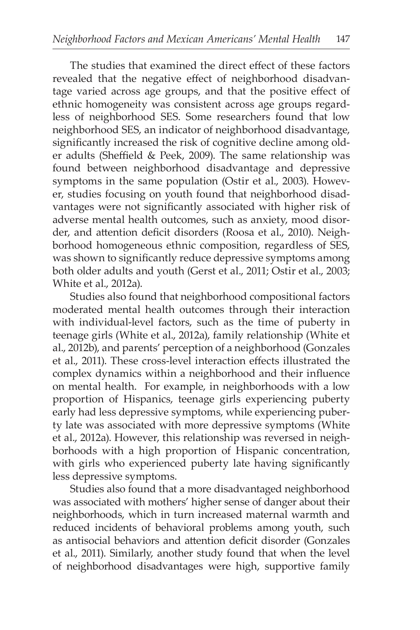The studies that examined the direct effect of these factors revealed that the negative effect of neighborhood disadvantage varied across age groups, and that the positive effect of ethnic homogeneity was consistent across age groups regardless of neighborhood SES. Some researchers found that low neighborhood SES, an indicator of neighborhood disadvantage, significantly increased the risk of cognitive decline among older adults (Sheffield & Peek, 2009). The same relationship was found between neighborhood disadvantage and depressive symptoms in the same population (Ostir et al., 2003). However, studies focusing on youth found that neighborhood disadvantages were not significantly associated with higher risk of adverse mental health outcomes, such as anxiety, mood disorder, and attention deficit disorders (Roosa et al., 2010). Neighborhood homogeneous ethnic composition, regardless of SES, was shown to significantly reduce depressive symptoms among both older adults and youth (Gerst et al., 2011; Ostir et al., 2003; White et al., 2012a).

Studies also found that neighborhood compositional factors moderated mental health outcomes through their interaction with individual-level factors, such as the time of puberty in teenage girls (White et al., 2012a), family relationship (White et al., 2012b), and parents' perception of a neighborhood (Gonzales et al., 2011). These cross-level interaction effects illustrated the complex dynamics within a neighborhood and their influence on mental health. For example, in neighborhoods with a low proportion of Hispanics, teenage girls experiencing puberty early had less depressive symptoms, while experiencing puberty late was associated with more depressive symptoms (White et al., 2012a). However, this relationship was reversed in neighborhoods with a high proportion of Hispanic concentration, with girls who experienced puberty late having significantly less depressive symptoms.

Studies also found that a more disadvantaged neighborhood was associated with mothers' higher sense of danger about their neighborhoods, which in turn increased maternal warmth and reduced incidents of behavioral problems among youth, such as antisocial behaviors and attention deficit disorder (Gonzales et al., 2011). Similarly, another study found that when the level of neighborhood disadvantages were high, supportive family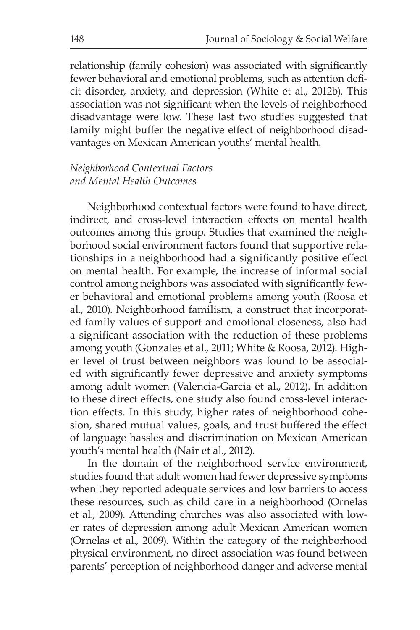relationship (family cohesion) was associated with significantly fewer behavioral and emotional problems, such as attention deficit disorder, anxiety, and depression (White et al., 2012b). This association was not significant when the levels of neighborhood disadvantage were low. These last two studies suggested that family might buffer the negative effect of neighborhood disadvantages on Mexican American youths' mental health.

#### *Neighborhood Contextual Factors and Mental Health Outcomes*

Neighborhood contextual factors were found to have direct, indirect, and cross-level interaction effects on mental health outcomes among this group. Studies that examined the neighborhood social environment factors found that supportive relationships in a neighborhood had a significantly positive effect on mental health. For example, the increase of informal social control among neighbors was associated with significantly fewer behavioral and emotional problems among youth (Roosa et al., 2010). Neighborhood familism, a construct that incorporated family values of support and emotional closeness, also had a significant association with the reduction of these problems among youth (Gonzales et al., 2011; White & Roosa, 2012). Higher level of trust between neighbors was found to be associated with significantly fewer depressive and anxiety symptoms among adult women (Valencia-Garcia et al., 2012). In addition to these direct effects, one study also found cross-level interaction effects. In this study, higher rates of neighborhood cohesion, shared mutual values, goals, and trust buffered the effect of language hassles and discrimination on Mexican American youth's mental health (Nair et al., 2012).

In the domain of the neighborhood service environment, studies found that adult women had fewer depressive symptoms when they reported adequate services and low barriers to access these resources, such as child care in a neighborhood (Ornelas et al., 2009). Attending churches was also associated with lower rates of depression among adult Mexican American women (Ornelas et al., 2009). Within the category of the neighborhood physical environment, no direct association was found between parents' perception of neighborhood danger and adverse mental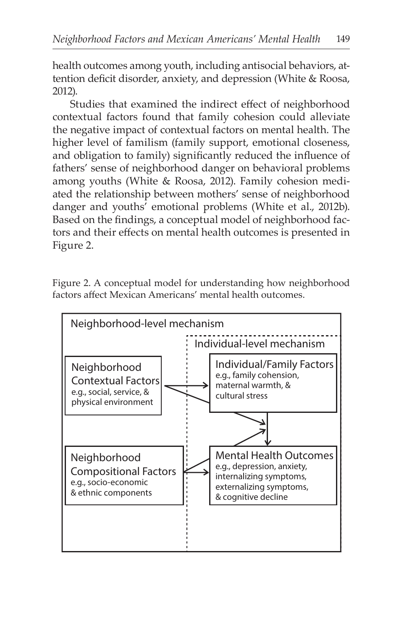health outcomes among youth, including antisocial behaviors, attention deficit disorder, anxiety, and depression (White & Roosa, 2012).

Studies that examined the indirect effect of neighborhood contextual factors found that family cohesion could alleviate the negative impact of contextual factors on mental health. The higher level of familism (family support, emotional closeness, and obligation to family) significantly reduced the influence of fathers' sense of neighborhood danger on behavioral problems among youths (White & Roosa, 2012). Family cohesion mediated the relationship between mothers' sense of neighborhood danger and youths' emotional problems (White et al., 2012b). Based on the findings, a conceptual model of neighborhood factors and their effects on mental health outcomes is presented in Figure 2.

Figure 2. A conceptual model for understanding how neighborhood factors affect Mexican Americans' mental health outcomes.

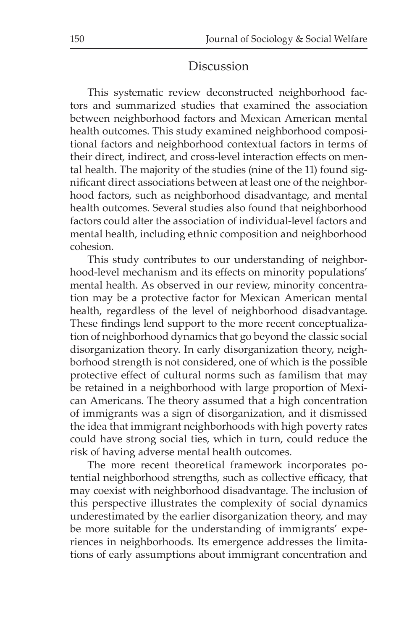### Discussion

This systematic review deconstructed neighborhood factors and summarized studies that examined the association between neighborhood factors and Mexican American mental health outcomes. This study examined neighborhood compositional factors and neighborhood contextual factors in terms of their direct, indirect, and cross-level interaction effects on mental health. The majority of the studies (nine of the 11) found significant direct associations between at least one of the neighborhood factors, such as neighborhood disadvantage, and mental health outcomes. Several studies also found that neighborhood factors could alter the association of individual-level factors and mental health, including ethnic composition and neighborhood cohesion.

This study contributes to our understanding of neighborhood-level mechanism and its effects on minority populations' mental health. As observed in our review, minority concentration may be a protective factor for Mexican American mental health, regardless of the level of neighborhood disadvantage. These findings lend support to the more recent conceptualization of neighborhood dynamics that go beyond the classic social disorganization theory. In early disorganization theory, neighborhood strength is not considered, one of which is the possible protective effect of cultural norms such as familism that may be retained in a neighborhood with large proportion of Mexican Americans. The theory assumed that a high concentration of immigrants was a sign of disorganization, and it dismissed the idea that immigrant neighborhoods with high poverty rates could have strong social ties, which in turn, could reduce the risk of having adverse mental health outcomes.

The more recent theoretical framework incorporates potential neighborhood strengths, such as collective efficacy, that may coexist with neighborhood disadvantage. The inclusion of this perspective illustrates the complexity of social dynamics underestimated by the earlier disorganization theory, and may be more suitable for the understanding of immigrants' experiences in neighborhoods. Its emergence addresses the limitations of early assumptions about immigrant concentration and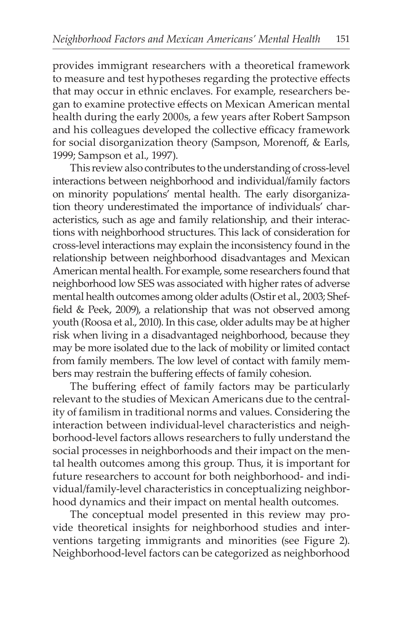provides immigrant researchers with a theoretical framework to measure and test hypotheses regarding the protective effects that may occur in ethnic enclaves. For example, researchers began to examine protective effects on Mexican American mental health during the early 2000s, a few years after Robert Sampson and his colleagues developed the collective efficacy framework for social disorganization theory (Sampson, Morenoff, & Earls, 1999; Sampson et al., 1997).

This review also contributes to the understanding of cross-level interactions between neighborhood and individual/family factors on minority populations' mental health. The early disorganization theory underestimated the importance of individuals' characteristics, such as age and family relationship, and their interactions with neighborhood structures. This lack of consideration for cross-level interactions may explain the inconsistency found in the relationship between neighborhood disadvantages and Mexican American mental health. For example, some researchers found that neighborhood low SES was associated with higher rates of adverse mental health outcomes among older adults (Ostir et al., 2003; Sheffield & Peek, 2009), a relationship that was not observed among youth (Roosa et al., 2010). In this case, older adults may be at higher risk when living in a disadvantaged neighborhood, because they may be more isolated due to the lack of mobility or limited contact from family members. The low level of contact with family members may restrain the buffering effects of family cohesion.

The buffering effect of family factors may be particularly relevant to the studies of Mexican Americans due to the centrality of familism in traditional norms and values. Considering the interaction between individual-level characteristics and neighborhood-level factors allows researchers to fully understand the social processes in neighborhoods and their impact on the mental health outcomes among this group. Thus, it is important for future researchers to account for both neighborhood- and individual/family-level characteristics in conceptualizing neighborhood dynamics and their impact on mental health outcomes.

The conceptual model presented in this review may provide theoretical insights for neighborhood studies and interventions targeting immigrants and minorities (see Figure 2). Neighborhood-level factors can be categorized as neighborhood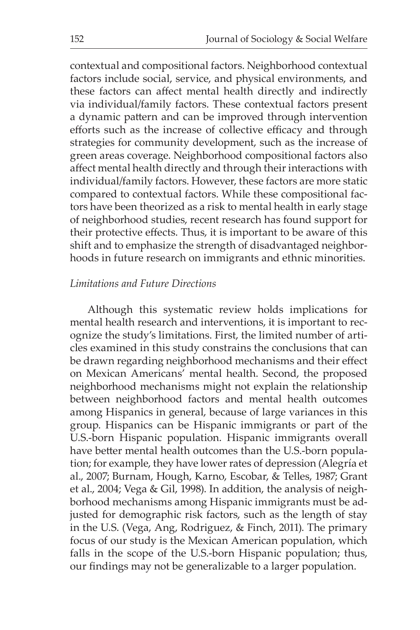contextual and compositional factors. Neighborhood contextual factors include social, service, and physical environments, and these factors can affect mental health directly and indirectly via individual/family factors. These contextual factors present a dynamic pattern and can be improved through intervention efforts such as the increase of collective efficacy and through strategies for community development, such as the increase of green areas coverage. Neighborhood compositional factors also affect mental health directly and through their interactions with individual/family factors. However, these factors are more static compared to contextual factors. While these compositional factors have been theorized as a risk to mental health in early stage of neighborhood studies, recent research has found support for their protective effects. Thus, it is important to be aware of this shift and to emphasize the strength of disadvantaged neighborhoods in future research on immigrants and ethnic minorities.

#### *Limitations and Future Directions*

Although this systematic review holds implications for mental health research and interventions, it is important to recognize the study's limitations. First, the limited number of articles examined in this study constrains the conclusions that can be drawn regarding neighborhood mechanisms and their effect on Mexican Americans' mental health. Second, the proposed neighborhood mechanisms might not explain the relationship between neighborhood factors and mental health outcomes among Hispanics in general, because of large variances in this group. Hispanics can be Hispanic immigrants or part of the U.S.-born Hispanic population. Hispanic immigrants overall have better mental health outcomes than the U.S.-born population; for example, they have lower rates of depression (Alegría et al., 2007; Burnam, Hough, Karno, Escobar, & Telles, 1987; Grant et al., 2004; Vega & Gil, 1998). In addition, the analysis of neighborhood mechanisms among Hispanic immigrants must be adjusted for demographic risk factors, such as the length of stay in the U.S. (Vega, Ang, Rodriguez, & Finch, 2011). The primary focus of our study is the Mexican American population, which falls in the scope of the U.S.-born Hispanic population; thus, our findings may not be generalizable to a larger population.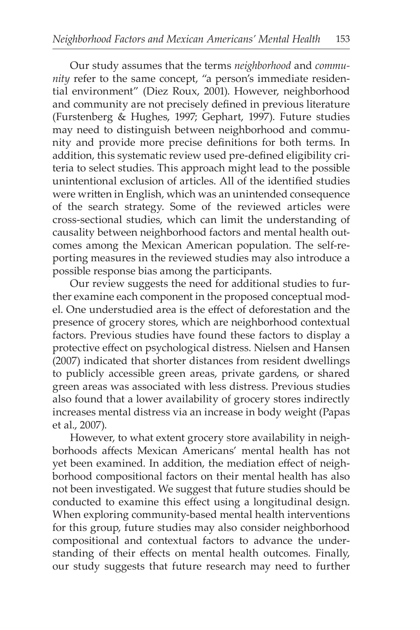Our study assumes that the terms *neighborhood* and *community* refer to the same concept, "a person's immediate residential environment" (Diez Roux, 2001). However, neighborhood and community are not precisely defined in previous literature (Furstenberg & Hughes, 1997; Gephart, 1997). Future studies may need to distinguish between neighborhood and community and provide more precise definitions for both terms. In addition, this systematic review used pre-defined eligibility criteria to select studies. This approach might lead to the possible unintentional exclusion of articles. All of the identified studies were written in English, which was an unintended consequence of the search strategy. Some of the reviewed articles were cross-sectional studies, which can limit the understanding of causality between neighborhood factors and mental health outcomes among the Mexican American population. The self-reporting measures in the reviewed studies may also introduce a possible response bias among the participants.

Our review suggests the need for additional studies to further examine each component in the proposed conceptual model. One understudied area is the effect of deforestation and the presence of grocery stores, which are neighborhood contextual factors. Previous studies have found these factors to display a protective effect on psychological distress. Nielsen and Hansen (2007) indicated that shorter distances from resident dwellings to publicly accessible green areas, private gardens, or shared green areas was associated with less distress. Previous studies also found that a lower availability of grocery stores indirectly increases mental distress via an increase in body weight (Papas et al., 2007).

However, to what extent grocery store availability in neighborhoods affects Mexican Americans' mental health has not yet been examined. In addition, the mediation effect of neighborhood compositional factors on their mental health has also not been investigated. We suggest that future studies should be conducted to examine this effect using a longitudinal design. When exploring community-based mental health interventions for this group, future studies may also consider neighborhood compositional and contextual factors to advance the understanding of their effects on mental health outcomes. Finally, our study suggests that future research may need to further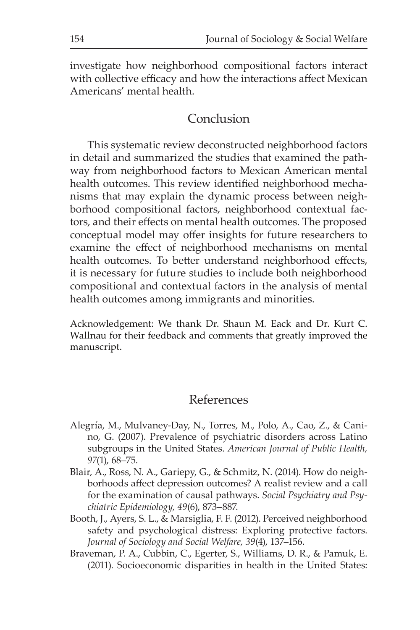investigate how neighborhood compositional factors interact with collective efficacy and how the interactions affect Mexican Americans' mental health.

### Conclusion

This systematic review deconstructed neighborhood factors in detail and summarized the studies that examined the pathway from neighborhood factors to Mexican American mental health outcomes. This review identified neighborhood mechanisms that may explain the dynamic process between neighborhood compositional factors, neighborhood contextual factors, and their effects on mental health outcomes. The proposed conceptual model may offer insights for future researchers to examine the effect of neighborhood mechanisms on mental health outcomes. To better understand neighborhood effects, it is necessary for future studies to include both neighborhood compositional and contextual factors in the analysis of mental health outcomes among immigrants and minorities.

Acknowledgement: We thank Dr. Shaun M. Eack and Dr. Kurt C. Wallnau for their feedback and comments that greatly improved the manuscript.

#### References

- Alegría, M., Mulvaney-Day, N., Torres, M., Polo, A., Cao, Z., & Canino, G. (2007). Prevalence of psychiatric disorders across Latino subgroups in the United States. *American Journal of Public Health, 97*(1), 68–75.
- Blair, A., Ross, N. A., Gariepy, G., & Schmitz, N. (2014). How do neighborhoods affect depression outcomes? A realist review and a call for the examination of causal pathways. *Social Psychiatry and Psychiatric Epidemiology, 49*(6), 873–887.
- Booth, J., Ayers, S. L., & Marsiglia, F. F. (2012). Perceived neighborhood safety and psychological distress: Exploring protective factors. *Journal of Sociology and Social Welfare, 39*(4), 137–156.
- Braveman, P. A., Cubbin, C., Egerter, S., Williams, D. R., & Pamuk, E. (2011). Socioeconomic disparities in health in the United States: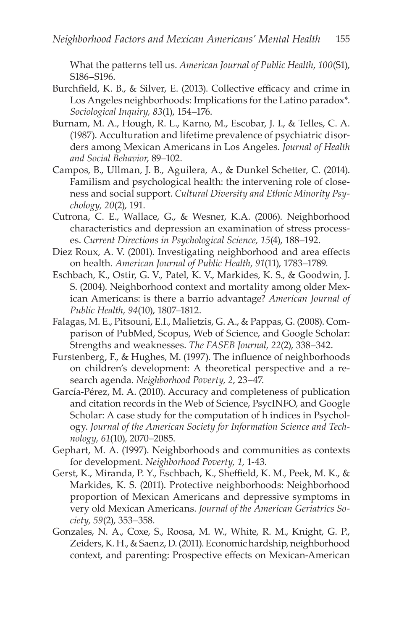What the patterns tell us. *American Journal of Public Health*, *100*(S1), S186–S196.

- Burchfield, K. B., & Silver, E. (2013). Collective efficacy and crime in Los Angeles neighborhoods: Implications for the Latino paradox\*. *Sociological Inquiry, 83*(1), 154–176.
- Burnam, M. A., Hough, R. L., Karno, M., Escobar, J. I., & Telles, C. A. (1987). Acculturation and lifetime prevalence of psychiatric disorders among Mexican Americans in Los Angeles. *Journal of Health and Social Behavior*, 89–102.
- Campos, B., Ullman, J. B., Aguilera, A., & Dunkel Schetter, C. (2014). Familism and psychological health: the intervening role of closeness and social support. *Cultural Diversity and Ethnic Minority Psychology, 20*(2), 191.
- Cutrona, C. E., Wallace, G., & Wesner, K.A. (2006). Neighborhood characteristics and depression an examination of stress processes. *Current Directions in Psychological Science, 15*(4), 188–192.
- Diez Roux, A. V. (2001). Investigating neighborhood and area effects on health. *American Journal of Public Health, 91*(11), 1783–1789.
- Eschbach, K., Ostir, G. V., Patel, K. V., Markides, K. S., & Goodwin, J. S. (2004). Neighborhood context and mortality among older Mexican Americans: is there a barrio advantage? *American Journal of Public Health, 94*(10), 1807–1812.
- Falagas, M. E., Pitsouni, E.I., Malietzis, G. A., & Pappas, G. (2008). Comparison of PubMed, Scopus, Web of Science, and Google Scholar: Strengths and weaknesses. *The FASEB Journal, 22*(2), 338–342.
- Furstenberg, F., & Hughes, M. (1997). The influence of neighborhoods on children's development: A theoretical perspective and a research agenda. *Neighborhood Poverty, 2*, 23–47.
- García-Pérez, M. A. (2010). Accuracy and completeness of publication and citation records in the Web of Science, PsycINFO, and Google Scholar: A case study for the computation of h indices in Psychology. *Journal of the American Society for Information Science and Technology, 61*(10), 2070–2085.
- Gephart, M. A. (1997). Neighborhoods and communities as contexts for development. *Neighborhood Poverty, 1*, 1-43.
- Gerst, K., Miranda, P. Y., Eschbach, K., Sheffield, K. M., Peek, M. K., & Markides, K. S. (2011). Protective neighborhoods: Neighborhood proportion of Mexican Americans and depressive symptoms in very old Mexican Americans. *Journal of the American Geriatrics Society, 59*(2), 353–358.
- Gonzales, N. A., Coxe, S., Roosa, M. W., White, R. M., Knight, G. P., Zeiders, K. H., & Saenz, D. (2011). Economic hardship, neighborhood context, and parenting: Prospective effects on Mexican-American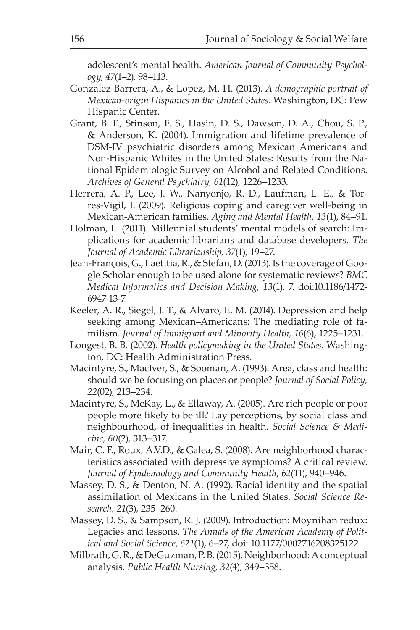adolescent's mental health. *American Journal of Community Psychology, 47*(1–2), 98–113.

- Gonzalez-Barrera, A., & Lopez, M. H. (2013). *A demographic portrait of Mexican-origin Hispanics in the United States.* Washington, DC: Pew Hispanic Center.
- Grant, B. F., Stinson, F. S., Hasin, D. S., Dawson, D. A., Chou, S. P., & Anderson, K. (2004). Immigration and lifetime prevalence of DSM-IV psychiatric disorders among Mexican Americans and Non-Hispanic Whites in the United States: Results from the National Epidemiologic Survey on Alcohol and Related Conditions. *Archives of General Psychiatry, 61*(12), 1226–1233.
- Herrera, A. P., Lee, J. W., Nanyonjo, R. D., Laufman, L. E., & Torres-Vigil, I. (2009). Religious coping and caregiver well-being in Mexican-American families. *Aging and Mental Health, 13*(1), 84–91.
- Holman, L. (2011). Millennial students' mental models of search: Implications for academic librarians and database developers. *The Journal of Academic Librarianship, 37*(1), 19–27.
- Jean-François, G., Laetitia, R., & Stefan, D. (2013). Is the coverage of Google Scholar enough to be used alone for systematic reviews? *BMC Medical Informatics and Decision Making, 13*(1), 7. doi:10.1186/1472- 6947-13-7
- Keeler, A. R., Siegel, J. T., & Alvaro, E. M. (2014). Depression and help seeking among Mexican–Americans: The mediating role of familism. *Journal of Immigrant and Minority Health, 16*(6), 1225–1231.
- Longest, B. B. (2002). *Health policymaking in the United States.* Washington, DC: Health Administration Press.
- Macintyre, S., MacIver, S., & Sooman, A. (1993). Area, class and health: should we be focusing on places or people? *Journal of Social Policy, 22*(02), 213–234.
- Macintyre, S., McKay, L., & Ellaway, A. (2005). Are rich people or poor people more likely to be ill? Lay perceptions, by social class and neighbourhood, of inequalities in health. *Social Science & Medicine, 60*(2), 313–317.
- Mair, C. F., Roux, A.V.D., & Galea, S. (2008). Are neighborhood characteristics associated with depressive symptoms? A critical review. *Journal of Epidemiology and Community Health*, *62*(11), 940–946.
- Massey, D. S., & Denton, N. A. (1992). Racial identity and the spatial assimilation of Mexicans in the United States. *Social Science Research, 21*(3), 235–260.
- Massey, D. S., & Sampson, R. J. (2009). Introduction: Moynihan redux: Legacies and lessons. *The Annals of the American Academy of Political and Social Science*, *621*(1), 6–27, doi: 10.1177/0002716208325122.
- Milbrath, G. R., & DeGuzman, P. B. (2015). Neighborhood: A conceptual analysis. *Public Health Nursing, 32*(4), 349–358.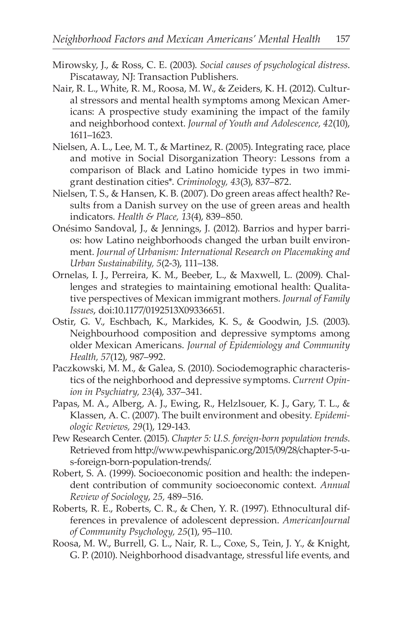- Mirowsky, J., & Ross, C. E. (2003). *Social causes of psychological distress*. Piscataway, NJ: Transaction Publishers.
- Nair, R. L., White, R. M., Roosa, M. W., & Zeiders, K. H. (2012). Cultural stressors and mental health symptoms among Mexican Americans: A prospective study examining the impact of the family and neighborhood context. *Journal of Youth and Adolescence, 42*(10), 1611–1623.
- Nielsen, A. L., Lee, M. T., & Martinez, R. (2005). Integrating race, place and motive in Social Disorganization Theory: Lessons from a comparison of Black and Latino homicide types in two immigrant destination cities\*. *Criminology, 43*(3), 837–872.
- Nielsen, T. S., & Hansen, K. B. (2007). Do green areas affect health? Results from a Danish survey on the use of green areas and health indicators. *Health & Place, 13*(4), 839–850.
- Onésimo Sandoval, J., & Jennings, J. (2012). Barrios and hyper barrios: how Latino neighborhoods changed the urban built environment. *Journal of Urbanism: International Research on Placemaking and Urban Sustainability, 5*(2-3), 111–138.
- Ornelas, I. J., Perreira, K. M., Beeber, L., & Maxwell, L. (2009). Challenges and strategies to maintaining emotional health: Qualitative perspectives of Mexican immigrant mothers. *Journal of Family Issues*, doi:10.1177/0192513X09336651.
- Ostir, G. V., Eschbach, K., Markides, K. S., & Goodwin, J.S. (2003). Neighbourhood composition and depressive symptoms among older Mexican Americans. *Journal of Epidemiology and Community Health, 57*(12), 987–992.
- Paczkowski, M. M., & Galea, S. (2010). Sociodemographic characteristics of the neighborhood and depressive symptoms. *Current Opinion in Psychiatry, 23*(4), 337–341.
- Papas, M. A., Alberg, A. J., Ewing, R., Helzlsouer, K. J., Gary, T. L., & Klassen, A. C. (2007). The built environment and obesity. *Epidemiologic Reviews, 29*(1), 129-143.
- Pew Research Center. (2015). *Chapter 5: U.S. foreign-born population trends*. Retrieved from http://www.pewhispanic.org/2015/09/28/chapter-5-us-foreign-born-population-trends/.
- Robert, S. A. (1999). Socioeconomic position and health: the independent contribution of community socioeconomic context. *Annual Review of Sociology*, *25,* 489–516.
- Roberts, R. E., Roberts, C. R., & Chen, Y. R. (1997). Ethnocultural differences in prevalence of adolescent depression. *AmericanJournal of Community Psychology, 25*(1), 95–110.
- Roosa, M. W., Burrell, G. L., Nair, R. L., Coxe, S., Tein, J. Y., & Knight, G. P. (2010). Neighborhood disadvantage, stressful life events, and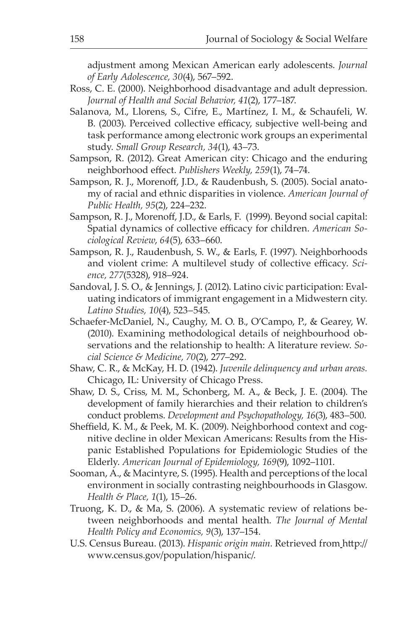adjustment among Mexican American early adolescents. *Journal of Early Adolescence, 30*(4), 567–592.

- Ross, C. E. (2000). Neighborhood disadvantage and adult depression. *Journal of Health and Social Behavior, 41*(2), 177–187.
- Salanova, M., Llorens, S., Cifre, E., Martínez, I. M., & Schaufeli, W. B. (2003). Perceived collective efficacy, subjective well-being and task performance among electronic work groups an experimental study. *Small Group Research, 34*(1), 43–73.
- Sampson, R. (2012). Great American city: Chicago and the enduring neighborhood effect. *Publishers Weekly, 259*(1), 74–74.
- Sampson, R. J., Morenoff, J.D., & Raudenbush, S. (2005). Social anatomy of racial and ethnic disparities in violence. *American Journal of Public Health, 95*(2), 224–232.
- Sampson, R. J., Morenoff, J.D., & Earls, F. (1999). Beyond social capital: Spatial dynamics of collective efficacy for children. *American Sociological Review*, *64*(5), 633–660.
- Sampson, R. J., Raudenbush, S. W., & Earls, F. (1997). Neighborhoods and violent crime: A multilevel study of collective efficacy. *Science, 277*(5328), 918–924.
- Sandoval, J. S. O., & Jennings, J. (2012). Latino civic participation: Evaluating indicators of immigrant engagement in a Midwestern city. *Latino Studies, 10*(4), 523–545.
- Schaefer-McDaniel, N., Caughy, M. O. B., O'Campo, P., & Gearey, W. (2010). Examining methodological details of neighbourhood observations and the relationship to health: A literature review. *Social Science & Medicine, 70*(2), 277–292.
- Shaw, C. R., & McKay, H. D. (1942). *Juvenile delinquency and urban areas.* Chicago, IL: University of Chicago Press.
- Shaw, D. S., Criss, M. M., Schonberg, M. A., & Beck, J. E. (2004). The development of family hierarchies and their relation to children's conduct problems. *Development and Psychopathology, 16*(3), 483–500.
- Sheffield, K. M., & Peek, M. K. (2009). Neighborhood context and cognitive decline in older Mexican Americans: Results from the Hispanic Established Populations for Epidemiologic Studies of the Elderly. *American Journal of Epidemiology, 169*(9), 1092–1101.
- Sooman, A., & Macintyre, S. (1995). Health and perceptions of the local environment in socially contrasting neighbourhoods in Glasgow. *Health & Place, 1*(1), 15–26.
- Truong, K. D., & Ma, S. (2006). A systematic review of relations between neighborhoods and mental health. *The Journal of Mental Health Policy and Economics, 9*(3), 137–154.
- U.S. Census Bureau. (2013). *Hispanic origin main.* Retrieved from http:// www.census.gov/population/hispanic/.